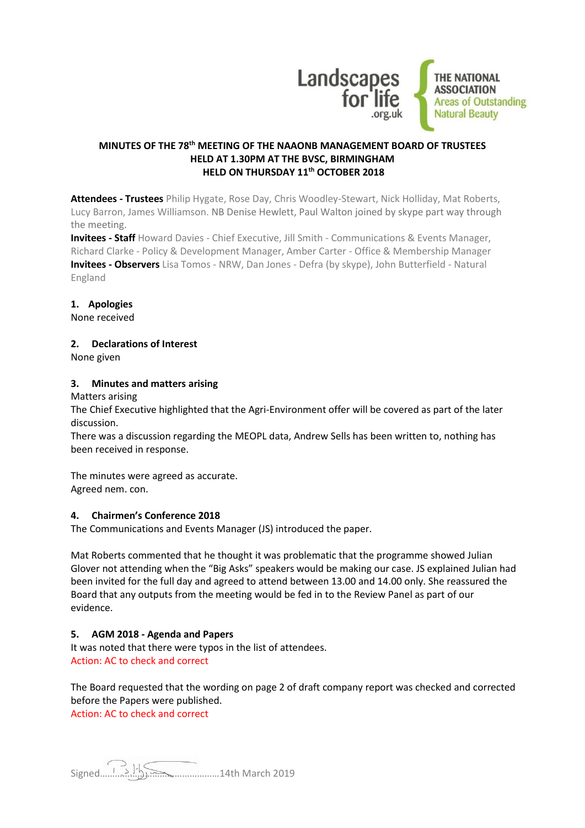

# **MINUTES OF THE 78th MEETING OF THE NAAONB MANAGEMENT BOARD OF TRUSTEES HELD AT 1.30PM AT THE BVSC, BIRMINGHAM HELD ON THURSDAY 11 th OCTOBER 2018**

**Attendees - Trustees** Philip Hygate, Rose Day, Chris Woodley-Stewart, Nick Holliday, Mat Roberts, Lucy Barron, James Williamson. NB Denise Hewlett, Paul Walton joined by skype part way through the meeting.

**Invitees - Staff** Howard Davies - Chief Executive, Jill Smith - Communications & Events Manager, Richard Clarke - Policy & Development Manager, Amber Carter - Office & Membership Manager **Invitees - Observers** Lisa Tomos - NRW, Dan Jones - Defra (by skype), John Butterfield - Natural England

### **1. Apologies**

None received

### **2. Declarations of Interest**

None given

### **3. Minutes and matters arising**

Matters arising

The Chief Executive highlighted that the Agri-Environment offer will be covered as part of the later discussion.

There was a discussion regarding the MEOPL data, Andrew Sells has been written to, nothing has been received in response.

The minutes were agreed as accurate. Agreed nem. con.

### **4. Chairmen's Conference 2018**

The Communications and Events Manager (JS) introduced the paper.

Mat Roberts commented that he thought it was problematic that the programme showed Julian Glover not attending when the "Big Asks" speakers would be making our case. JS explained Julian had been invited for the full day and agreed to attend between 13.00 and 14.00 only. She reassured the Board that any outputs from the meeting would be fed in to the Review Panel as part of our evidence.

### **5. AGM 2018 - Agenda and Papers**

It was noted that there were typos in the list of attendees. Action: AC to check and correct

The Board requested that the wording on page 2 of draft company report was checked and corrected before the Papers were published.

Action: AC to check and correct

Signed…………………………………………14th March 2019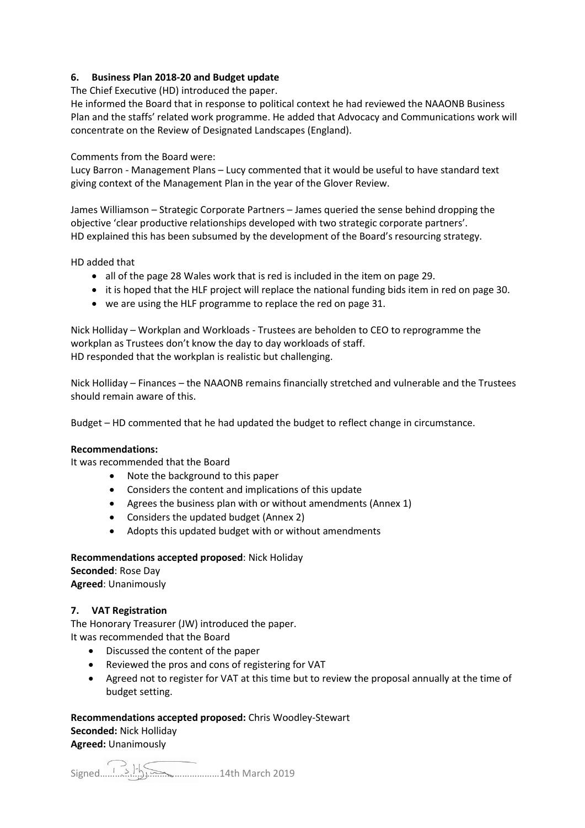# **6. Business Plan 2018-20 and Budget update**

The Chief Executive (HD) introduced the paper.

He informed the Board that in response to political context he had reviewed the NAAONB Business Plan and the staffs' related work programme. He added that Advocacy and Communications work will concentrate on the Review of Designated Landscapes (England).

Comments from the Board were:

Lucy Barron - Management Plans – Lucy commented that it would be useful to have standard text giving context of the Management Plan in the year of the Glover Review.

James Williamson – Strategic Corporate Partners – James queried the sense behind dropping the objective 'clear productive relationships developed with two strategic corporate partners'. HD explained this has been subsumed by the development of the Board's resourcing strategy.

HD added that

- all of the page 28 Wales work that is red is included in the item on page 29.
- it is hoped that the HLF project will replace the national funding bids item in red on page 30.
- we are using the HLF programme to replace the red on page 31.

Nick Holliday – Workplan and Workloads - Trustees are beholden to CEO to reprogramme the workplan as Trustees don't know the day to day workloads of staff. HD responded that the workplan is realistic but challenging.

Nick Holliday – Finances – the NAAONB remains financially stretched and vulnerable and the Trustees should remain aware of this.

Budget – HD commented that he had updated the budget to reflect change in circumstance.

### **Recommendations:**

It was recommended that the Board

- Note the background to this paper
- Considers the content and implications of this update
- Agrees the business plan with or without amendments (Annex 1)
- Considers the updated budget (Annex 2)
- Adopts this updated budget with or without amendments

**Recommendations accepted proposed**: Nick Holiday **Seconded**: Rose Day **Agreed**: Unanimously

# **7. VAT Registration**

The Honorary Treasurer (JW) introduced the paper. It was recommended that the Board

- Discussed the content of the paper
- Reviewed the pros and cons of registering for VAT
- Agreed not to register for VAT at this time but to review the proposal annually at the time of budget setting.

**Recommendations accepted proposed:** Chris Woodley-Stewart **Seconded:** Nick Holliday **Agreed:** Unanimously

Signed…………………………………………14th March 2019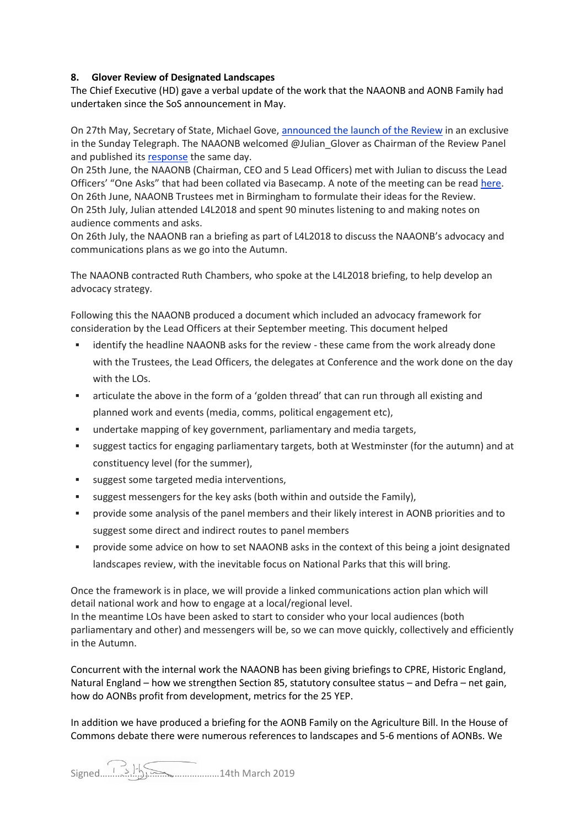# **8. Glover Review of Designated Landscapes**

The Chief Executive (HD) gave a verbal update of the work that the NAAONB and AONB Family had undertaken since the SoS announcement in May.

On 27th May, Secretary of State, Michael Gove, [announced the launch of the Review](https://www.telegraph.co.uk/politics/2018/05/26/new-wave-national-parks-could-created-michael-goves-plans-green/) in an exclusive in the Sunday Telegraph. The NAAONB welcomed @Julian Glover as Chairman of the Review Panel and published its [response](http://www.landscapesforlife.org.uk/wp-content/uploads/2018/05/NAAONB-Response-to-Defra-announcement-on-Review-of-Designated-Landscapes-27.5.2018.docx) the same day.

On 25th June, the NAAONB (Chairman, CEO and 5 Lead Officers) met with Julian to discuss the Lead Officers' "One Asks" that had been collated via Basecamp. A note of the meeting can be read [here.](https://naaonb.basecamphq.com/projects/14226763-designated-landscape-review/posts/105792345/comments#385958877) On 26th June, NAAONB Trustees met in Birmingham to formulate their ideas for the Review. On 25th July, Julian attended L4L2018 and spent 90 minutes listening to and making notes on audience comments and asks.

On 26th July, the NAAONB ran a briefing as part of L4L2018 to discuss the NAAONB's advocacy and communications plans as we go into the Autumn.

The NAAONB contracted Ruth Chambers, who spoke at the L4L2018 briefing, to help develop an advocacy strategy.

Following this the NAAONB produced a document which included an advocacy framework for consideration by the Lead Officers at their September meeting. This document helped

- identify the headline NAAONB asks for the review these came from the work already done with the Trustees, the Lead Officers, the delegates at Conference and the work done on the day with the LOs.
- **•** articulate the above in the form of a 'golden thread' that can run through all existing and planned work and events (media, comms, political engagement etc),
- undertake mapping of key government, parliamentary and media targets,
- suggest tactics for engaging parliamentary targets, both at Westminster (for the autumn) and at constituency level (for the summer),
- suggest some targeted media interventions,
- suggest messengers for the key asks (both within and outside the Family),
- provide some analysis of the panel members and their likely interest in AONB priorities and to suggest some direct and indirect routes to panel members
- provide some advice on how to set NAAONB asks in the context of this being a joint designated landscapes review, with the inevitable focus on National Parks that this will bring.

Once the framework is in place, we will provide a linked communications action plan which will detail national work and how to engage at a local/regional level. In the meantime LOs have been asked to start to consider who your local audiences (both parliamentary and other) and messengers will be, so we can move quickly, collectively and efficiently in the Autumn.

Concurrent with the internal work the NAAONB has been giving briefings to CPRE, Historic England, Natural England – how we strengthen Section 85, statutory consultee status – and Defra – net gain, how do AONBs profit from development, metrics for the 25 YEP.

In addition we have produced a briefing for the AONB Family on the Agriculture Bill. In the House of Commons debate there were numerous references to landscapes and 5-6 mentions of AONBs. We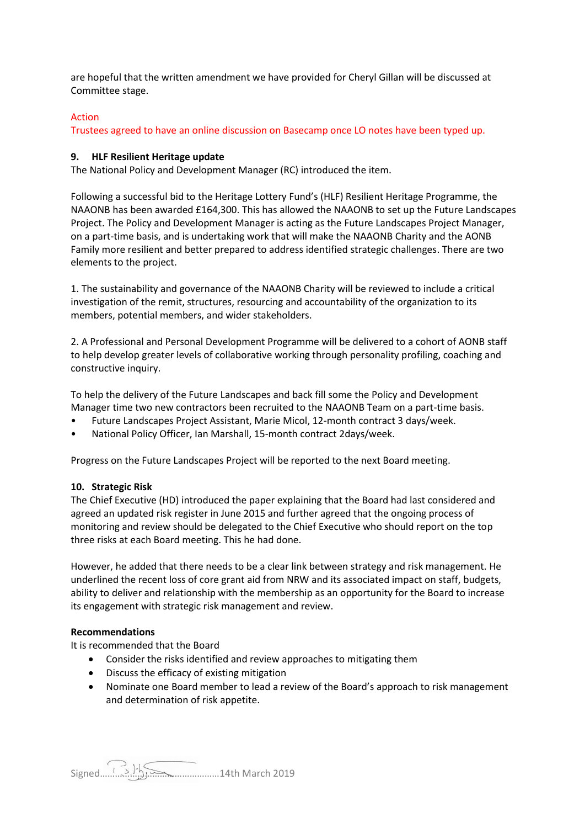are hopeful that the written amendment we have provided for Cheryl Gillan will be discussed at Committee stage.

## Action

Trustees agreed to have an online discussion on Basecamp once LO notes have been typed up.

### **9. HLF Resilient Heritage update**

The National Policy and Development Manager (RC) introduced the item.

Following a successful bid to the Heritage Lottery Fund's (HLF) Resilient Heritage Programme, the NAAONB has been awarded £164,300. This has allowed the NAAONB to set up the Future Landscapes Project. The Policy and Development Manager is acting as the Future Landscapes Project Manager, on a part-time basis, and is undertaking work that will make the NAAONB Charity and the AONB Family more resilient and better prepared to address identified strategic challenges. There are two elements to the project.

1. The sustainability and governance of the NAAONB Charity will be reviewed to include a critical investigation of the remit, structures, resourcing and accountability of the organization to its members, potential members, and wider stakeholders.

2. A Professional and Personal Development Programme will be delivered to a cohort of AONB staff to help develop greater levels of collaborative working through personality profiling, coaching and constructive inquiry.

To help the delivery of the Future Landscapes and back fill some the Policy and Development Manager time two new contractors been recruited to the NAAONB Team on a part-time basis.

- Future Landscapes Project Assistant, Marie Micol, 12-month contract 3 days/week.
- National Policy Officer, Ian Marshall, 15-month contract 2days/week.

Progress on the Future Landscapes Project will be reported to the next Board meeting.

### **10. Strategic Risk**

The Chief Executive (HD) introduced the paper explaining that the Board had last considered and agreed an updated risk register in June 2015 and further agreed that the ongoing process of monitoring and review should be delegated to the Chief Executive who should report on the top three risks at each Board meeting. This he had done.

However, he added that there needs to be a clear link between strategy and risk management. He underlined the recent loss of core grant aid from NRW and its associated impact on staff, budgets, ability to deliver and relationship with the membership as an opportunity for the Board to increase its engagement with strategic risk management and review.

### **Recommendations**

It is recommended that the Board

- Consider the risks identified and review approaches to mitigating them
- Discuss the efficacy of existing mitigation
- Nominate one Board member to lead a review of the Board's approach to risk management and determination of risk appetite.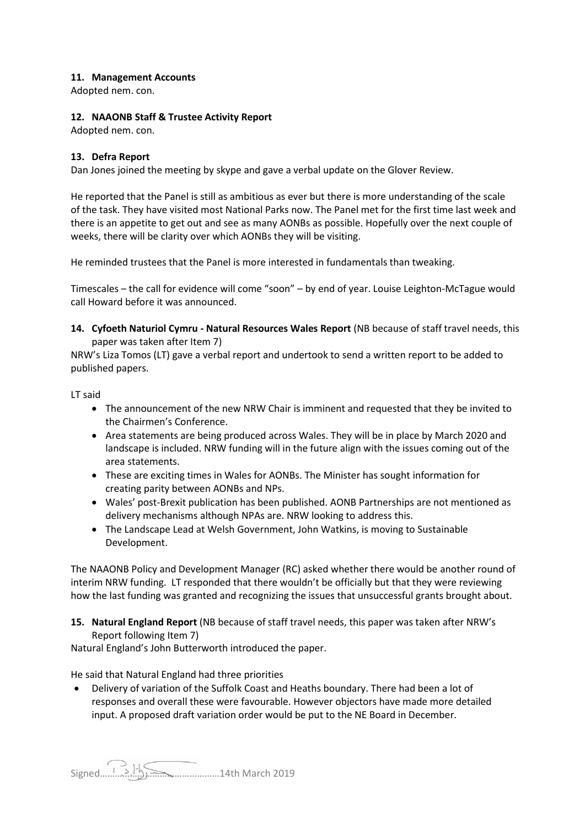## **11. Management Accounts**

Adopted nem. con.

## **12. NAAONB Staff & Trustee Activity Report**

Adopted nem. con.

## **13. Defra Report**

Dan Jones joined the meeting by skype and gave a verbal update on the Glover Review.

He reported that the Panel is still as ambitious as ever but there is more understanding of the scale of the task. They have visited most National Parks now. The Panel met for the first time last week and there is an appetite to get out and see as many AONBs as possible. Hopefully over the next couple of weeks, there will be clarity over which AONBs they will be visiting.

He reminded trustees that the Panel is more interested in fundamentals than tweaking.

Timescales – the call for evidence will come "soon" – by end of year. Louise Leighton-McTague would call Howard before it was announced.

**14. Cyfoeth Naturiol Cymru - Natural Resources Wales Report** (NB because of staff travel needs, this paper was taken after Item 7)

NRW's Liza Tomos (LT) gave a verbal report and undertook to send a written report to be added to published papers.

LT said

- The announcement of the new NRW Chair is imminent and requested that they be invited to the Chairmen's Conference.
- Area statements are being produced across Wales. They will be in place by March 2020 and landscape is included. NRW funding will in the future align with the issues coming out of the area statements.
- These are exciting times in Wales for AONBs. The Minister has sought information for creating parity between AONBs and NPs.
- Wales' post-Brexit publication has been published. AONB Partnerships are not mentioned as delivery mechanisms although NPAs are. NRW looking to address this.
- The Landscape Lead at Welsh Government, John Watkins, is moving to Sustainable Development.

The NAAONB Policy and Development Manager (RC) asked whether there would be another round of interim NRW funding. LT responded that there wouldn't be officially but that they were reviewing how the last funding was granted and recognizing the issues that unsuccessful grants brought about.

**15. Natural England Report** (NB because of staff travel needs, this paper was taken after NRW's Report following Item 7)

Natural England's John Butterworth introduced the paper.

He said that Natural England had three priorities

• Delivery of variation of the Suffolk Coast and Heaths boundary. There had been a lot of responses and overall these were favourable. However objectors have made more detailed input. A proposed draft variation order would be put to the NE Board in December.